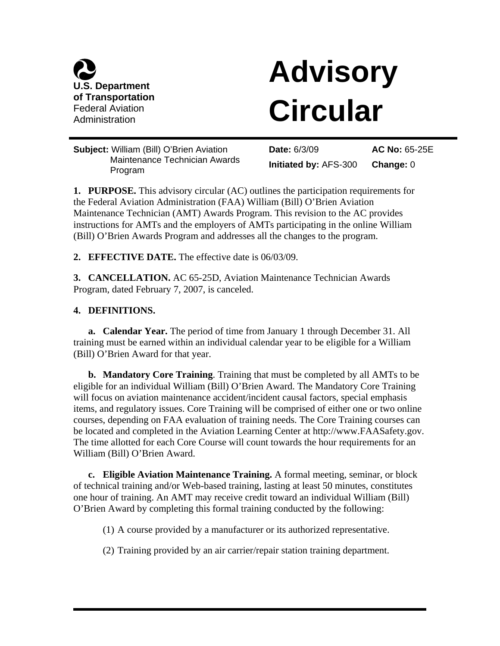

# **Advisory Circular**

**Subject:** William (Bill) O'Brien Aviation Maintenance Technician Awards Program

**Date:** 6/3/09 **Initiated by:** AFS-300 **AC No:** 65-25E **Change:** 0

**1. PURPOSE.** This advisory circular (AC) outlines the participation requirements for the Federal Aviation Administration (FAA) William (Bill) O'Brien Aviation Maintenance Technician (AMT) Awards Program. This revision to the AC provides instructions for AMTs and the employers of AMTs participating in the online William (Bill) O'Brien Awards Program and addresses all the changes to the program.

**2. EFFECTIVE DATE.** The effective date is 06/03/09.

**3. CANCELLATION.** AC 65-25D, Aviation Maintenance Technician Awards Program, dated February 7, 2007, is canceled.

## **4. DEFINITIONS.**

**a. Calendar Year.** The period of time from January 1 through December 31. All training must be earned within an individual calendar year to be eligible for a William (Bill) O'Brien Award for that year.

**b. Mandatory Core Training**. Training that must be completed by all AMTs to be eligible for an individual William (Bill) O'Brien Award. The Mandatory Core Training will focus on aviation maintenance accident/incident causal factors, special emphasis items, and regulatory issues. Core Training will be comprised of either one or two online courses, depending on FAA evaluation of training needs. The Core Training courses can be located and completed in the Aviation Learning Center at http://www.FAASafety.gov. The time allotted for each Core Course will count towards the hour requirements for an William (Bill) O'Brien Award.

**c. Eligible Aviation Maintenance Training.** A formal meeting, seminar, or block of technical training and/or Web-based training, lasting at least 50 minutes, constitutes one hour of training. An AMT may receive credit toward an individual William (Bill) O'Brien Award by completing this formal training conducted by the following:

(1) A course provided by a manufacturer or its authorized representative.

(2) Training provided by an air carrier/repair station training department.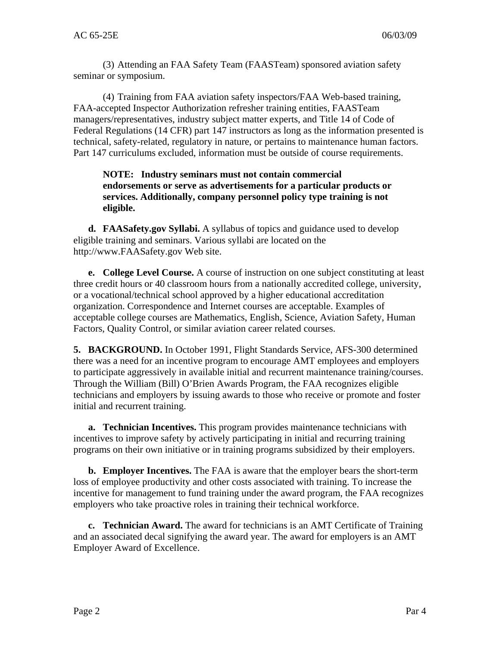(3) Attending an FAA Safety Team (FAASTeam) sponsored aviation safety seminar or symposium.

(4) Training from FAA aviation safety inspectors/FAA Web-based training, FAA-accepted Inspector Authorization refresher training entities, FAASTeam managers/representatives, industry subject matter experts, and Title 14 of Code of Federal Regulations (14 CFR) part 147 instructors as long as the information presented is technical, safety-related, regulatory in nature, or pertains to maintenance human factors. Part 147 curriculums excluded, information must be outside of course requirements.

#### **NOTE: Industry seminars must not contain commercial endorsements or serve as advertisements for a particular products or services. Additionally, company personnel policy type training is not eligible.**

**d. FAASafety.gov Syllabi.** A syllabus of topics and guidance used to develop eligible training and seminars. Various syllabi are located on the http://www.FAASafety.gov Web site.

**e. College Level Course.** A course of instruction on one subject constituting at least three credit hours or 40 classroom hours from a nationally accredited college, university, or a vocational/technical school approved by a higher educational accreditation organization. Correspondence and Internet courses are acceptable. Examples of acceptable college courses are Mathematics, English, Science, Aviation Safety, Human Factors, Quality Control, or similar aviation career related courses.

**5. BACKGROUND.** In October 1991, Flight Standards Service, AFS-300 determined there was a need for an incentive program to encourage AMT employees and employers to participate aggressively in available initial and recurrent maintenance training/courses. Through the William (Bill) O'Brien Awards Program, the FAA recognizes eligible technicians and employers by issuing awards to those who receive or promote and foster initial and recurrent training.

**a. Technician Incentives.** This program provides maintenance technicians with incentives to improve safety by actively participating in initial and recurring training programs on their own initiative or in training programs subsidized by their employers.

**b. Employer Incentives.** The FAA is aware that the employer bears the short-term loss of employee productivity and other costs associated with training. To increase the incentive for management to fund training under the award program, the FAA recognizes employers who take proactive roles in training their technical workforce.

**c. Technician Award.** The award for technicians is an AMT Certificate of Training and an associated decal signifying the award year. The award for employers is an AMT Employer Award of Excellence.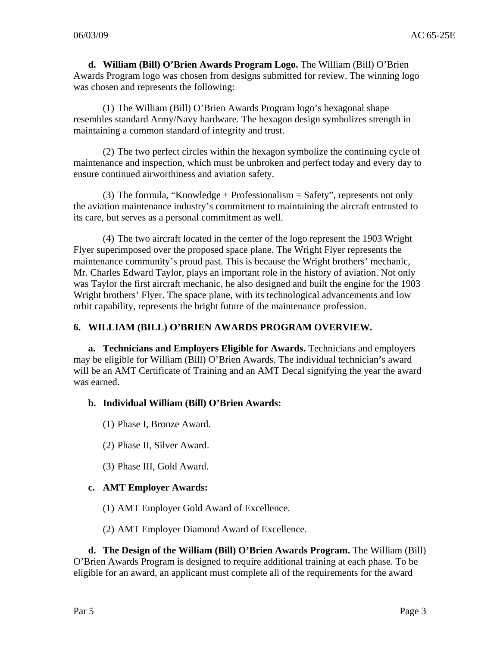**d. William (Bill) O'Brien Awards Program Logo.** The William (Bill) O'Brien Awards Program logo was chosen from designs submitted for review. The winning logo was chosen and represents the following:

(1) The William (Bill) O'Brien Awards Program logo's hexagonal shape resembles standard Army/Navy hardware. The hexagon design symbolizes strength in maintaining a common standard of integrity and trust.

(2) The two perfect circles within the hexagon symbolize the continuing cycle of maintenance and inspection, which must be unbroken and perfect today and every day to ensure continued airworthiness and aviation safety.

(3) The formula, "Knowledge + Professionalism = Safety", represents not only the aviation maintenance industry's commitment to maintaining the aircraft entrusted to its care, but serves as a personal commitment as well.

(4) The two aircraft located in the center of the logo represent the 1903 Wright Flyer superimposed over the proposed space plane. The Wright Flyer represents the maintenance community's proud past. This is because the Wright brothers' mechanic, Mr. Charles Edward Taylor, plays an important role in the history of aviation. Not only was Taylor the first aircraft mechanic, he also designed and built the engine for the 1903 Wright brothers' Flyer. The space plane, with its technological advancements and low orbit capability, represents the bright future of the maintenance profession.

# **6. WILLIAM (BILL) O'BRIEN AWARDS PROGRAM OVERVIEW.**

**a. Technicians and Employers Eligible for Awards.** Technicians and employers may be eligible for William (Bill) O'Brien Awards. The individual technician's award will be an AMT Certificate of Training and an AMT Decal signifying the year the award was earned.

## **b. Individual William (Bill) O'Brien Awards:**

(1) Phase I, Bronze Award.

- (2) Phase II, Silver Award.
- (3) Phase III, Gold Award.

## **c. AMT Employer Awards:**

- (1) AMT Employer Gold Award of Excellence.
- (2) AMT Employer Diamond Award of Excellence.

**d. The Design of the William (Bill) O'Brien Awards Program.** The William (Bill) O'Brien Awards Program is designed to require additional training at each phase. To be eligible for an award, an applicant must complete all of the requirements for the award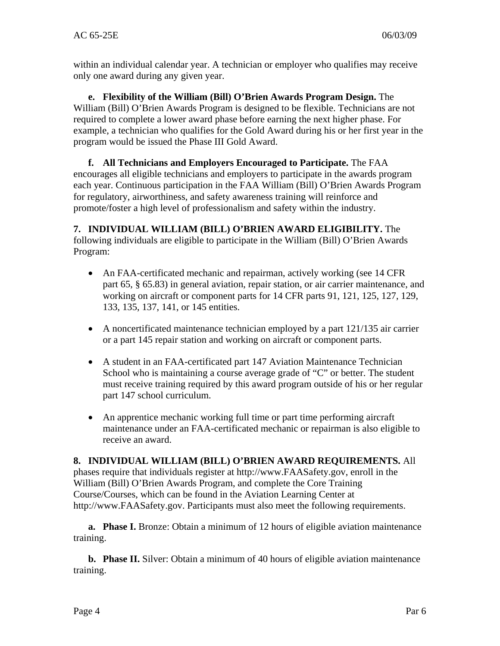within an individual calendar year. A technician or employer who qualifies may receive only one award during any given year.

**e. Flexibility of the William (Bill) O'Brien Awards Program Design.** The William (Bill) O'Brien Awards Program is designed to be flexible. Technicians are not required to complete a lower award phase before earning the next higher phase. For example, a technician who qualifies for the Gold Award during his or her first year in the program would be issued the Phase III Gold Award.

**f. All Technicians and Employers Encouraged to Participate.** The FAA encourages all eligible technicians and employers to participate in the awards program each year. Continuous participation in the FAA William (Bill) O'Brien Awards Program for regulatory, airworthiness, and safety awareness training will reinforce and promote/foster a high level of professionalism and safety within the industry.

**7. INDIVIDUAL WILLIAM (BILL) O'BRIEN AWARD ELIGIBILITY.** The following individuals are eligible to participate in the William (Bill) O'Brien Awards Program:

- An FAA-certificated mechanic and repairman, actively working (see 14 CFR part 65, § 65.83) in general aviation, repair station, or air carrier maintenance, and working on aircraft or component parts for 14 CFR parts 91, 121, 125, 127, 129, 133, 135, 137, 141, or 145 entities.
- A noncertificated maintenance technician employed by a part 121/135 air carrier or a part 145 repair station and working on aircraft or component parts.
- A student in an FAA-certificated part 147 Aviation Maintenance Technician School who is maintaining a course average grade of "C" or better. The student must receive training required by this award program outside of his or her regular part 147 school curriculum.
- An apprentice mechanic working full time or part time performing aircraft maintenance under an FAA-certificated mechanic or repairman is also eligible to receive an award.

# **8. INDIVIDUAL WILLIAM (BILL) O'BRIEN AWARD REQUIREMENTS.** All

phases require that individuals register at http://www.FAASafety.gov, enroll in the William (Bill) O'Brien Awards Program, and complete the Core Training Course/Courses, which can be found in the Aviation Learning Center at http://www.FAASafety.gov. Participants must also meet the following requirements.

**a. Phase I.** Bronze: Obtain a minimum of 12 hours of eligible aviation maintenance training.

**b. Phase II.** Silver: Obtain a minimum of 40 hours of eligible aviation maintenance training.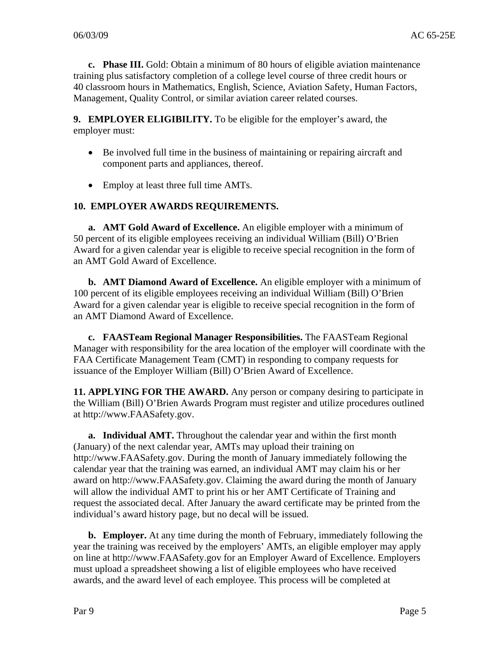**c. Phase III.** Gold: Obtain a minimum of 80 hours of eligible aviation maintenance training plus satisfactory completion of a college level course of three credit hours or 40 classroom hours in Mathematics, English, Science, Aviation Safety, Human Factors, Management, Quality Control, or similar aviation career related courses.

**9. EMPLOYER ELIGIBILITY.** To be eligible for the employer's award, the employer must:

- Be involved full time in the business of maintaining or repairing aircraft and component parts and appliances, thereof.
- Employ at least three full time AMTs.

#### **10. EMPLOYER AWARDS REQUIREMENTS.**

**a. AMT Gold Award of Excellence.** An eligible employer with a minimum of 50 percent of its eligible employees receiving an individual William (Bill) O'Brien Award for a given calendar year is eligible to receive special recognition in the form of an AMT Gold Award of Excellence.

**b. AMT Diamond Award of Excellence.** An eligible employer with a minimum of 100 percent of its eligible employees receiving an individual William (Bill) O'Brien Award for a given calendar year is eligible to receive special recognition in the form of an AMT Diamond Award of Excellence.

**c. FAASTeam Regional Manager Responsibilities.** The FAASTeam Regional Manager with responsibility for the area location of the employer will coordinate with the FAA Certificate Management Team (CMT) in responding to company requests for issuance of the Employer William (Bill) O'Brien Award of Excellence.

**11. APPLYING FOR THE AWARD.** Any person or company desiring to participate in the William (Bill) O'Brien Awards Program must register and utilize procedures outlined at http://www.FAASafety.gov.

**a. Individual AMT.** Throughout the calendar year and within the first month (January) of the next calendar year, AMTs may upload their training on http://www.FAASafety.gov. During the month of January immediately following the calendar year that the training was earned, an individual AMT may claim his or her award on http://www.FAASafety.gov. Claiming the award during the month of January will allow the individual AMT to print his or her AMT Certificate of Training and request the associated decal. After January the award certificate may be printed from the individual's award history page, but no decal will be issued.

**b. Employer.** At any time during the month of February, immediately following the year the training was received by the employers' AMTs, an eligible employer may apply on line at http://www.FAASafety.gov for an Employer Award of Excellence. Employers must upload a spreadsheet showing a list of eligible employees who have received awards, and the award level of each employee. This process will be completed at